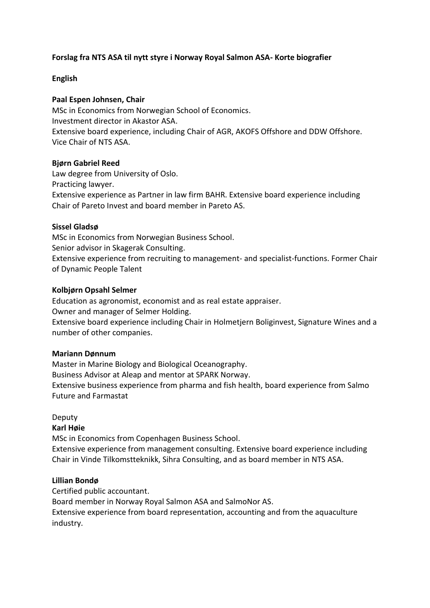# **Forslag fra NTS ASA til nytt styre i Norway Royal Salmon ASA- Korte biografier**

## **English**

## **Paal Espen Johnsen, Chair**

MSc in Economics from Norwegian School of Economics. Investment director in Akastor ASA. Extensive board experience, including Chair of AGR, AKOFS Offshore and DDW Offshore. Vice Chair of NTS ASA.

## **Bjørn Gabriel Reed**

Law degree from University of Oslo. Practicing lawyer. Extensive experience as Partner in law firm BAHR. Extensive board experience including Chair of Pareto Invest and board member in Pareto AS.

## **Sissel Gladsø**

MSc in Economics from Norwegian Business School. Senior advisor in Skagerak Consulting. Extensive experience from recruiting to management- and specialist-functions. Former Chair of Dynamic People Talent

## **Kolbjørn Opsahl Selmer**

Education as agronomist, economist and as real estate appraiser. Owner and manager of Selmer Holding.

Extensive board experience including Chair in Holmetjern Boliginvest, Signature Wines and a number of other companies.

## **Mariann Dønnum**

Master in Marine Biology and Biological Oceanography. Business Advisor at Aleap and mentor at SPARK Norway. Extensive business experience from pharma and fish health, board experience from Salmo Future and Farmastat

# Deputy

## **Karl Høie**

MSc in Economics from Copenhagen Business School. Extensive experience from management consulting. Extensive board experience including

Chair in Vinde Tilkomstteknikk, Sihra Consulting, and as board member in NTS ASA.

# **Lillian Bondø**

Certified public accountant.

Board member in Norway Royal Salmon ASA and SalmoNor AS.

Extensive experience from board representation, accounting and from the aquaculture industry.